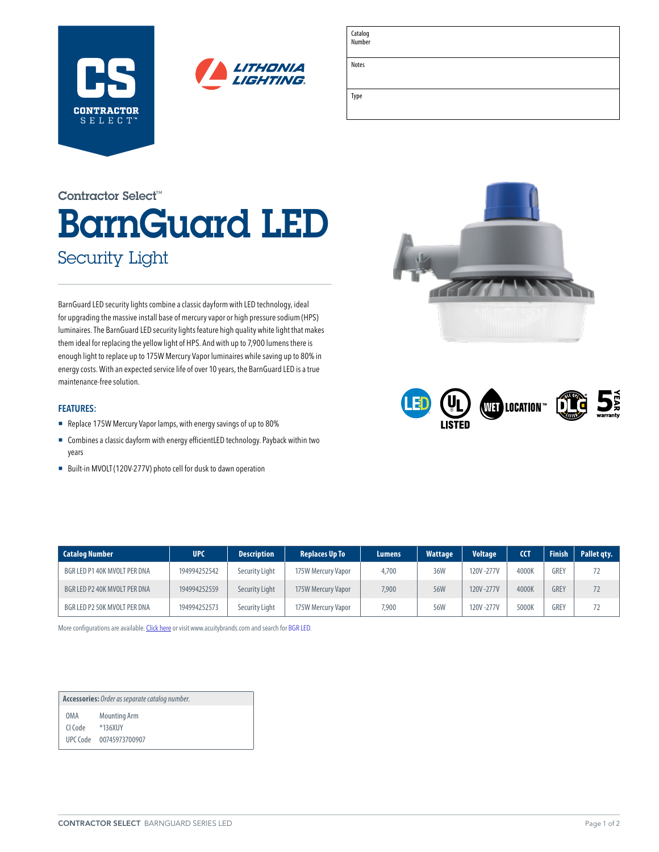



| Catalog<br>Number |  |
|-------------------|--|
| Notes             |  |
| Type              |  |

# BarnGuard LED Security Light Contractor Select™

BarnGuard LED security lights combine a classic dayform with LED technology, ideal for upgrading the massive install base of mercury vapor or high pressure sodium (HPS) luminaires. The BarnGuard LED security lights feature high quality white light that makes them ideal for replacing the yellow light of HPS. And with up to 7,900 lumens there is enough light to replace up to 175W Mercury Vapor luminaires while saving up to 80% in energy costs. With an expected service life of over 10 years, the BarnGuard LED is a true maintenance-free solution.

### **FEATURES:**

- Replace 175W Mercury Vapor lamps, with energy savings of up to 80%
- Combines a classic dayform with energy efficientLED technology. Payback within two years
- Built-in MVOLT (120V-277V) photo cell for dusk to dawn operation





| <b>Catalog Number</b>        | <b>UPC</b>   | <b>Description</b> | <b>Replaces Up To</b> | Lumens | <b>Wattage</b> | <b>Voltage</b> | <b>CCT</b> | <b>Finish</b> | Pallet gty. |
|------------------------------|--------------|--------------------|-----------------------|--------|----------------|----------------|------------|---------------|-------------|
| BGR LED P1 40K MVOLT PER DNA | 194994252542 | Security Light     | 175W Mercury Vapor    | 4,700  | 36W            | 120V-277V      | 4000K      | <b>GREY</b>   | 72          |
| BGR LED P2 40K MVOLT PER DNA | 194994252559 | Security Light     | 175W Mercury Vapor    | 7,900  | 56W            | 120V-277V      | 4000K      | <b>GREY</b>   | 72          |
| BGR LED P2 50K MVOLT PER DNA | 194994252573 | Security Light     | 175W Mercury Vapor    | 7,900  | 56W            | 120V-277V      | 5000K      | <b>GREY</b>   | 72          |

More configurations are available. [Click here](https://www.acuitybrands.com/-/media/products/Lithonia_Lighting/695330/document/TDD-LED_pdf.pdf) or visit [www.acuitybrands.com](http://www.acuitybrands.com) and search for [BGR LED](https://lithonia.acuitybrands.com/products/detail/1157812/lithonia-lighting/bgr-led-outdoor-barn-light/led-upgrade-for-mercury-vapor-and-hps-fixtures).

**Accessories:** *Order as separate catalog number.* OMA Mounting Arm CI Code \*136XUY UPC Code 00745973700907